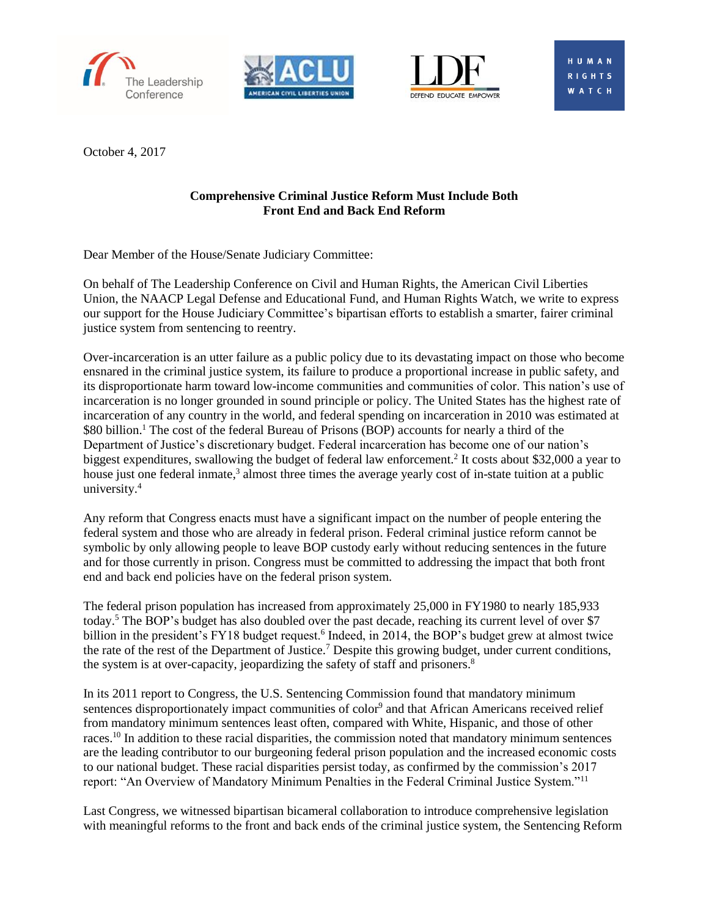





**WATCH** 

October 4, 2017

# **Comprehensive Criminal Justice Reform Must Include Both Front End and Back End Reform**

Dear Member of the House/Senate Judiciary Committee:

On behalf of The Leadership Conference on Civil and Human Rights, the American Civil Liberties Union, the NAACP Legal Defense and Educational Fund, and Human Rights Watch, we write to express our support for the House Judiciary Committee's bipartisan efforts to establish a smarter, fairer criminal justice system from sentencing to reentry.

Over-incarceration is an utter failure as a public policy due to its devastating impact on those who become ensnared in the criminal justice system, its failure to produce a proportional increase in public safety, and its disproportionate harm toward low-income communities and communities of color. This nation's use of incarceration is no longer grounded in sound principle or policy. The United States has the highest rate of incarceration of any country in the world, and federal spending on incarceration in 2010 was estimated at \$80 billion.<sup>1</sup> The cost of the federal Bureau of Prisons (BOP) accounts for nearly a third of the Department of Justice's discretionary budget. Federal incarceration has become one of our nation's biggest expenditures, swallowing the budget of federal law enforcement.<sup>2</sup> It costs about \$32,000 a year to house just one federal inmate,<sup>3</sup> almost three times the average yearly cost of in-state tuition at a public university.<sup>4</sup>

Any reform that Congress enacts must have a significant impact on the number of people entering the federal system and those who are already in federal prison. Federal criminal justice reform cannot be symbolic by only allowing people to leave BOP custody early without reducing sentences in the future and for those currently in prison. Congress must be committed to addressing the impact that both front end and back end policies have on the federal prison system.

The federal prison population has increased from approximately 25,000 in FY1980 to nearly 185,933 today.<sup>5</sup> The BOP's budget has also doubled over the past decade, reaching its current level of over \$7 billion in the president's FY18 budget request.<sup>6</sup> Indeed, in 2014, the BOP's budget grew at almost twice the rate of the rest of the Department of Justice.<sup>7</sup> Despite this growing budget, under current conditions, the system is at over-capacity, jeopardizing the safety of staff and prisoners. 8

In its 2011 report to Congress, the U.S. Sentencing Commission found that mandatory minimum sentences disproportionately impact communities of color<sup>9</sup> and that African Americans received relief from mandatory minimum sentences least often, compared with White, Hispanic, and those of other races.<sup>10</sup> In addition to these racial disparities, the commission noted that mandatory minimum sentences are the leading contributor to our burgeoning federal prison population and the increased economic costs to our national budget. These racial disparities persist today, as confirmed by the commission's 2017 report: "An Overview of Mandatory Minimum Penalties in the Federal Criminal Justice System."<sup>11</sup>

Last Congress, we witnessed bipartisan bicameral collaboration to introduce comprehensive legislation with meaningful reforms to the front and back ends of the criminal justice system, the Sentencing Reform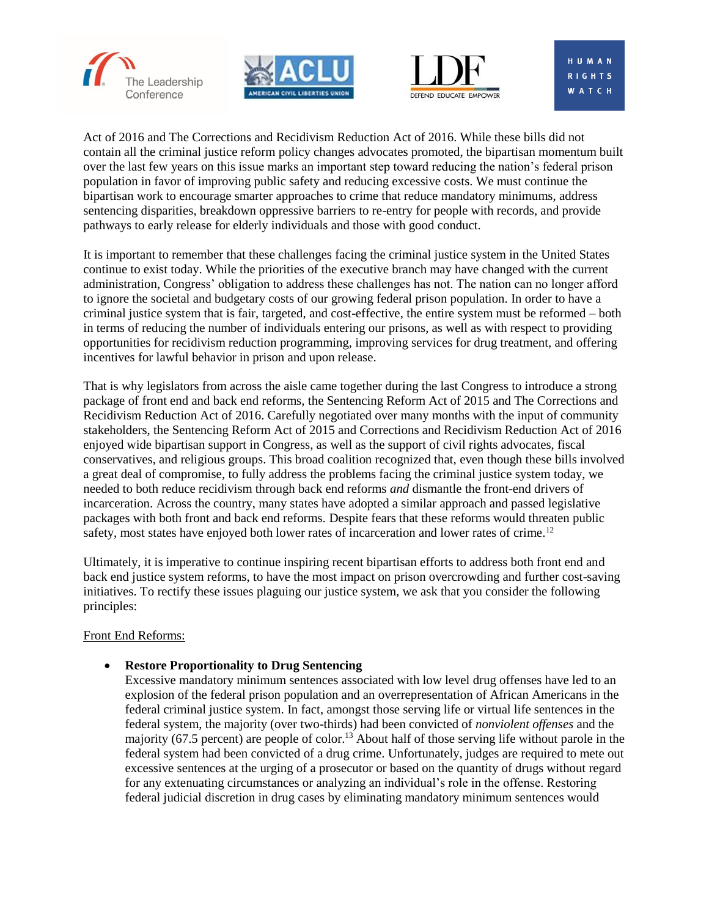





**RIGHTS WATCH** 

Act of 2016 and The Corrections and Recidivism Reduction Act of 2016. While these bills did not contain all the criminal justice reform policy changes advocates promoted, the bipartisan momentum built over the last few years on this issue marks an important step toward reducing the nation's federal prison population in favor of improving public safety and reducing excessive costs. We must continue the bipartisan work to encourage smarter approaches to crime that reduce mandatory minimums, address sentencing disparities, breakdown oppressive barriers to re-entry for people with records, and provide pathways to early release for elderly individuals and those with good conduct.

It is important to remember that these challenges facing the criminal justice system in the United States continue to exist today. While the priorities of the executive branch may have changed with the current administration, Congress' obligation to address these challenges has not. The nation can no longer afford to ignore the societal and budgetary costs of our growing federal prison population. In order to have a criminal justice system that is fair, targeted, and cost-effective, the entire system must be reformed – both in terms of reducing the number of individuals entering our prisons, as well as with respect to providing opportunities for recidivism reduction programming, improving services for drug treatment, and offering incentives for lawful behavior in prison and upon release.

That is why legislators from across the aisle came together during the last Congress to introduce a strong package of front end and back end reforms, the Sentencing Reform Act of 2015 and The Corrections and Recidivism Reduction Act of 2016. Carefully negotiated over many months with the input of community stakeholders, the Sentencing Reform Act of 2015 and Corrections and Recidivism Reduction Act of 2016 enjoyed wide bipartisan support in Congress, as well as the support of civil rights advocates, fiscal conservatives, and religious groups. This broad coalition recognized that, even though these bills involved a great deal of compromise, to fully address the problems facing the criminal justice system today, we needed to both reduce recidivism through back end reforms *and* dismantle the front-end drivers of incarceration. Across the country, many states have adopted a similar approach and passed legislative packages with both front and back end reforms. Despite fears that these reforms would threaten public safety, most states have enjoyed both lower rates of incarceration and lower rates of crime.<sup>12</sup>

Ultimately, it is imperative to continue inspiring recent bipartisan efforts to address both front end and back end justice system reforms, to have the most impact on prison overcrowding and further cost-saving initiatives. To rectify these issues plaguing our justice system, we ask that you consider the following principles:

### Front End Reforms:

# **Restore Proportionality to Drug Sentencing**

Excessive mandatory minimum sentences associated with low level drug offenses have led to an explosion of the federal prison population and an overrepresentation of African Americans in the federal criminal justice system. In fact, amongst those serving life or virtual life sentences in the federal system, the majority (over two-thirds) had been convicted of *nonviolent offenses* and the majority (67.5 percent) are people of color.<sup>13</sup> About half of those serving life without parole in the federal system had been convicted of a drug crime. Unfortunately, judges are required to mete out excessive sentences at the urging of a prosecutor or based on the quantity of drugs without regard for any extenuating circumstances or analyzing an individual's role in the offense. Restoring federal judicial discretion in drug cases by eliminating mandatory minimum sentences would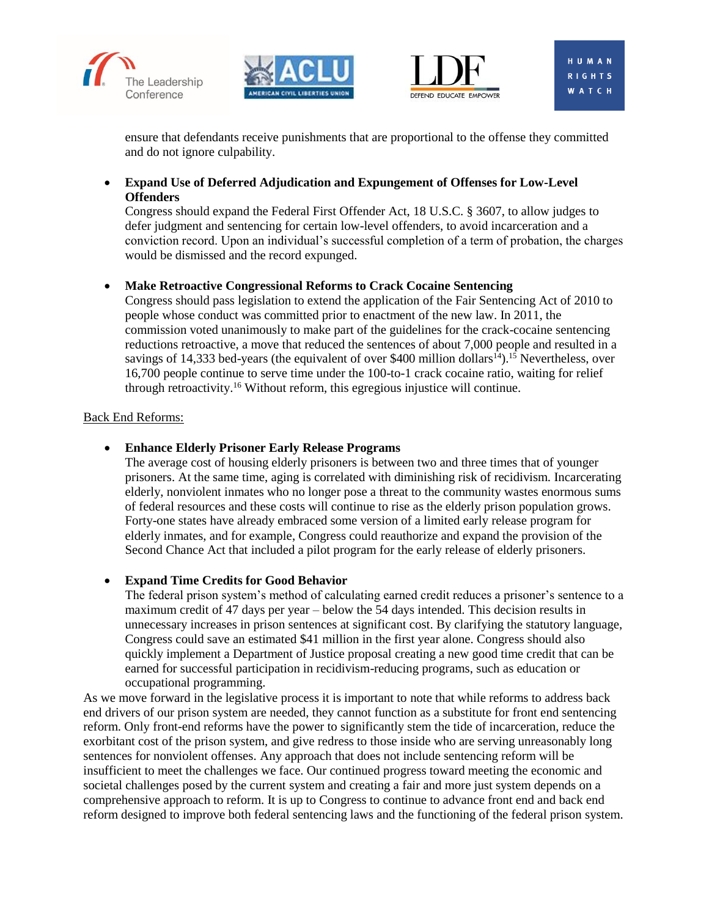





**HUMA** RIGHTS **WATCH** 

ensure that defendants receive punishments that are proportional to the offense they committed and do not ignore culpability.

 **Expand Use of Deferred Adjudication and Expungement of Offenses for Low-Level Offenders**

Congress should expand the Federal First Offender Act, 18 U.S.C. § 3607, to allow judges to defer judgment and sentencing for certain low-level offenders, to avoid incarceration and a conviction record. Upon an individual's successful completion of a term of probation, the charges would be dismissed and the record expunged.

# **Make Retroactive Congressional Reforms to Crack Cocaine Sentencing**

Congress should pass legislation to extend the application of the Fair Sentencing Act of 2010 to people whose conduct was committed prior to enactment of the new law. In 2011, the commission voted unanimously to make part of the guidelines for the crack-cocaine sentencing reductions retroactive, a move that reduced the sentences of about 7,000 people and resulted in a savings of 14,333 bed-years (the equivalent of over \$400 million dollars<sup>14</sup>).<sup>15</sup> Nevertheless, over 16,700 people continue to serve time under the 100-to-1 crack cocaine ratio, waiting for relief through retroactivity.<sup>16</sup> Without reform, this egregious injustice will continue.

### Back End Reforms:

## **Enhance Elderly Prisoner Early Release Programs**

The average cost of housing elderly prisoners is between two and three times that of younger prisoners. At the same time, aging is correlated with diminishing risk of recidivism. Incarcerating elderly, nonviolent inmates who no longer pose a threat to the community wastes enormous sums of federal resources and these costs will continue to rise as the elderly prison population grows. Forty-one states have already embraced some version of a limited early release program for elderly inmates, and for example, Congress could reauthorize and expand the provision of the Second Chance Act that included a pilot program for the early release of elderly prisoners.

### **Expand Time Credits for Good Behavior**

The federal prison system's method of calculating earned credit reduces a prisoner's sentence to a maximum credit of 47 days per year – below the 54 days intended. This decision results in unnecessary increases in prison sentences at significant cost. By clarifying the statutory language, Congress could save an estimated \$41 million in the first year alone. Congress should also quickly implement a Department of Justice proposal creating a new good time credit that can be earned for successful participation in recidivism-reducing programs, such as education or occupational programming.

As we move forward in the legislative process it is important to note that while reforms to address back end drivers of our prison system are needed, they cannot function as a substitute for front end sentencing reform. Only front-end reforms have the power to significantly stem the tide of incarceration, reduce the exorbitant cost of the prison system, and give redress to those inside who are serving unreasonably long sentences for nonviolent offenses. Any approach that does not include sentencing reform will be insufficient to meet the challenges we face. Our continued progress toward meeting the economic and societal challenges posed by the current system and creating a fair and more just system depends on a comprehensive approach to reform. It is up to Congress to continue to advance front end and back end reform designed to improve both federal sentencing laws and the functioning of the federal prison system.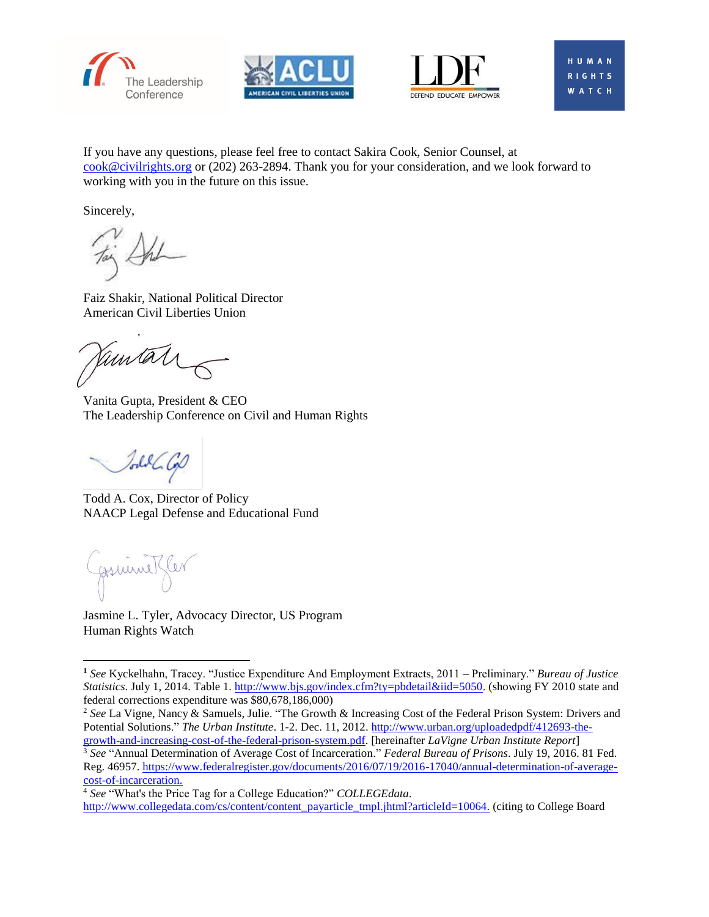





**WATCH** 

If you have any questions, please feel free to contact Sakira Cook, Senior Counsel, at [cook@civilrights.org](mailto:cook@civilrights.org) or (202) 263-2894. Thank you for your consideration, and we look forward to working with you in the future on this issue.

Sincerely,

Faiz Shakir, National Political Director American Civil Liberties Union

amtat

Vanita Gupta, President & CEO The Leadership Conference on Civil and Human Rights

Johan Cop

Todd A. Cox, Director of Policy NAACP Legal Defense and Educational Fund

formul!

l

Jasmine L. Tyler, Advocacy Director, US Program Human Rights Watch

[growth-and-increasing-cost-of-the-federal-prison-system.pdf.](http://www.urban.org/uploadedpdf/412693-the-growth-and-increasing-cost-of-the-federal-prison-system.pdf) [hereinafter *LaVigne Urban Institute Report*] <sup>3</sup> *See* "Annual Determination of Average Cost of Incarceration." *Federal Bureau of Prisons*. July 19, 2016. 81 Fed. Reg. 46957. [https://www.federalregister.gov/documents/2016/07/19/2016-17040/annual-determination-of-average](https://www.federalregister.gov/documents/2016/07/19/2016-17040/annual-determination-of-average-cost-of-incarceration)[cost-of-incarceration.](https://www.federalregister.gov/documents/2016/07/19/2016-17040/annual-determination-of-average-cost-of-incarceration)

<sup>4</sup> *See* "What's the Price Tag for a College Education?" *COLLEGEdata*. [http://www.collegedata.com/cs/content/content\\_payarticle\\_tmpl.jhtml?articleId=10064.](http://www.collegedata.com/cs/content/content_payarticle_tmpl.jhtml?articleId=10064) (citing to College Board

**<sup>1</sup>** *See* Kyckelhahn, Tracey. "Justice Expenditure And Employment Extracts, 2011 – Preliminary." *Bureau of Justice Statistics*. July 1, 2014. Table 1. [http://www.bjs.gov/index.cfm?ty=pbdetail&iid=5050.](http://www.bjs.gov/index.cfm?ty=pbdetail&iid=5050) (showing FY 2010 state and federal corrections expenditure was \$80,678,186,000)

<sup>&</sup>lt;sup>2</sup> See La Vigne, Nancy & Samuels, Julie. "The Growth & Increasing Cost of the Federal Prison System: Drivers and Potential Solutions." *The Urban Institute*. 1-2. Dec. 11, 2012[. http://www.urban.org/uploadedpdf/412693-the-](http://www.urban.org/uploadedpdf/412693-the-growth-and-increasing-cost-of-the-federal-prison-system.pdf)